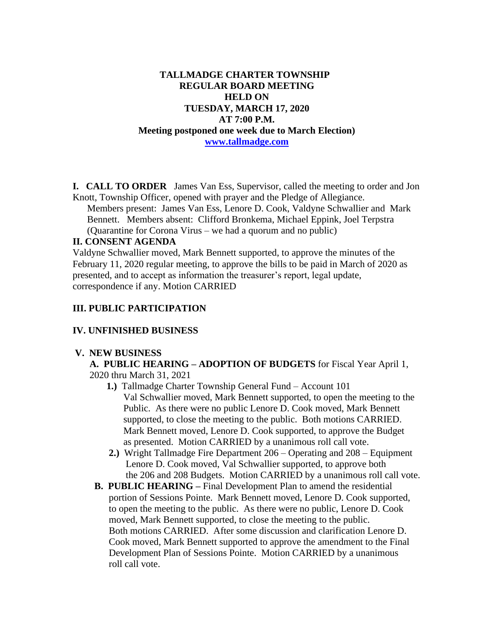# **TALLMADGE CHARTER TOWNSHIP REGULAR BOARD MEETING HELD ON TUESDAY, MARCH 17, 2020 AT 7:00 P.M. Meeting postponed one week due to March Election) [www.tallmadge.com](http://www.tallmadge.com/)**

**I. CALL TO ORDER** James Van Ess, Supervisor, called the meeting to order and Jon Knott, Township Officer, opened with prayer and the Pledge of Allegiance.

Members present: James Van Ess, Lenore D. Cook, Valdyne Schwallier and Mark Bennett. Members absent: Clifford Bronkema, Michael Eppink, Joel Terpstra (Quarantine for Corona Virus – we had a quorum and no public)

## **II. CONSENT AGENDA**

Valdyne Schwallier moved, Mark Bennett supported, to approve the minutes of the February 11, 2020 regular meeting, to approve the bills to be paid in March of 2020 as presented, and to accept as information the treasurer's report, legal update, correspondence if any. Motion CARRIED

## **III. PUBLIC PARTICIPATION**

## **IV. UNFINISHED BUSINESS**

#### **V. NEW BUSINESS**

 **A. PUBLIC HEARING – ADOPTION OF BUDGETS** for Fiscal Year April 1, 2020 thru March 31, 2021

- **1.)** Tallmadge Charter Township General Fund Account 101 Val Schwallier moved, Mark Bennett supported, to open the meeting to the Public. As there were no public Lenore D. Cook moved, Mark Bennett supported, to close the meeting to the public. Both motions CARRIED. Mark Bennett moved, Lenore D. Cook supported, to approve the Budget as presented. Motion CARRIED by a unanimous roll call vote.
- **2.)** Wright Tallmadge Fire Department 206 Operating and 208 Equipment Lenore D. Cook moved, Val Schwallier supported, to approve both the 206 and 208 Budgets. Motion CARRIED by a unanimous roll call vote.
- **B. PUBLIC HEARING –** Final Development Plan to amend the residential portion of Sessions Pointe. Mark Bennett moved, Lenore D. Cook supported, to open the meeting to the public. As there were no public, Lenore D. Cook moved, Mark Bennett supported, to close the meeting to the public. Both motions CARRIED. After some discussion and clarification Lenore D. Cook moved, Mark Bennett supported to approve the amendment to the Final Development Plan of Sessions Pointe. Motion CARRIED by a unanimous roll call vote.